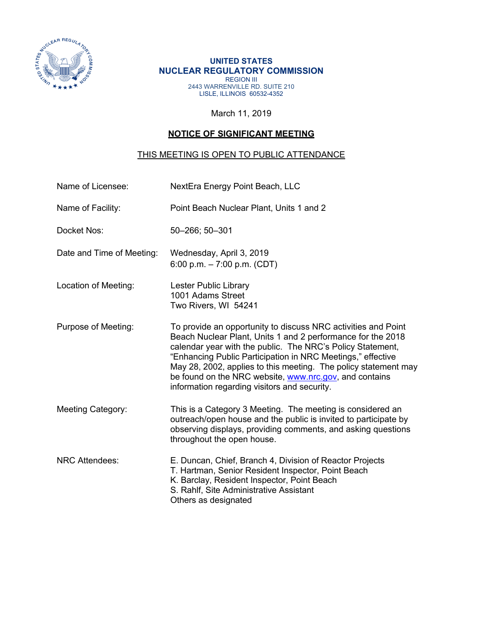

## **UNITED STATES NUCLEAR REGULATORY COMMISSION**  REGION III 2443 WARRENVILLE RD. SUITE 210 LISLE, ILLINOIS 60532-4352

March 11, 2019

## **NOTICE OF SIGNIFICANT MEETING**

## THIS MEETING IS OPEN TO PUBLIC ATTENDANCE

| Name of Licensee:         | NextEra Energy Point Beach, LLC                                                                                                                                                                                                                                                                                                                                                                                                        |  |  |
|---------------------------|----------------------------------------------------------------------------------------------------------------------------------------------------------------------------------------------------------------------------------------------------------------------------------------------------------------------------------------------------------------------------------------------------------------------------------------|--|--|
| Name of Facility:         | Point Beach Nuclear Plant, Units 1 and 2                                                                                                                                                                                                                                                                                                                                                                                               |  |  |
| Docket Nos:               | 50-266; 50-301                                                                                                                                                                                                                                                                                                                                                                                                                         |  |  |
| Date and Time of Meeting: | Wednesday, April 3, 2019<br>6:00 p.m. $-7:00$ p.m. (CDT)                                                                                                                                                                                                                                                                                                                                                                               |  |  |
| Location of Meeting:      | <b>Lester Public Library</b><br>1001 Adams Street<br>Two Rivers, WI 54241                                                                                                                                                                                                                                                                                                                                                              |  |  |
| Purpose of Meeting:       | To provide an opportunity to discuss NRC activities and Point<br>Beach Nuclear Plant, Units 1 and 2 performance for the 2018<br>calendar year with the public. The NRC's Policy Statement,<br>"Enhancing Public Participation in NRC Meetings," effective<br>May 28, 2002, applies to this meeting. The policy statement may<br>be found on the NRC website, www.nrc.gov, and contains<br>information regarding visitors and security. |  |  |
| <b>Meeting Category:</b>  | This is a Category 3 Meeting. The meeting is considered an<br>outreach/open house and the public is invited to participate by<br>observing displays, providing comments, and asking questions<br>throughout the open house.                                                                                                                                                                                                            |  |  |
| <b>NRC Attendees:</b>     | E. Duncan, Chief, Branch 4, Division of Reactor Projects<br>T. Hartman, Senior Resident Inspector, Point Beach<br>K. Barclay, Resident Inspector, Point Beach<br>S. Rahlf, Site Administrative Assistant<br>Others as designated                                                                                                                                                                                                       |  |  |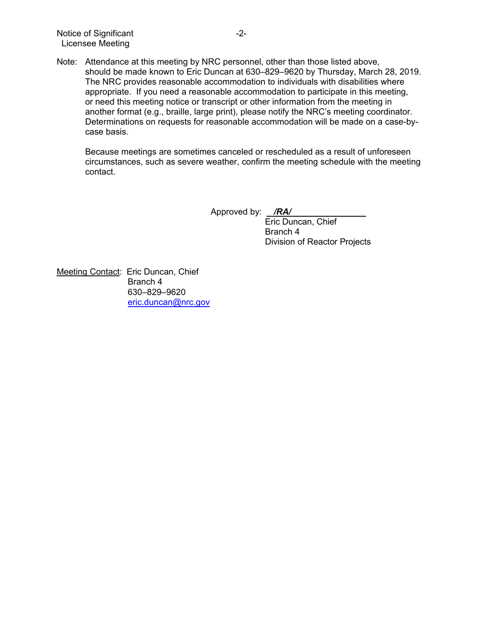Note: Attendance at this meeting by NRC personnel, other than those listed above, should be made known to Eric Duncan at 630–829–9620 by Thursday, March 28, 2019. The NRC provides reasonable accommodation to individuals with disabilities where appropriate. If you need a reasonable accommodation to participate in this meeting, or need this meeting notice or transcript or other information from the meeting in another format (e.g., braille, large print), please notify the NRC's meeting coordinator. Determinations on requests for reasonable accommodation will be made on a case-bycase basis.

Because meetings are sometimes canceled or rescheduled as a result of unforeseen circumstances, such as severe weather, confirm the meeting schedule with the meeting contact.

Approved by: */RA/* 

Eric Duncan, Chief Branch 4 Division of Reactor Projects

Meeting Contact: Eric Duncan, Chief Branch 4 630–829–9620 eric.duncan@nrc.gov